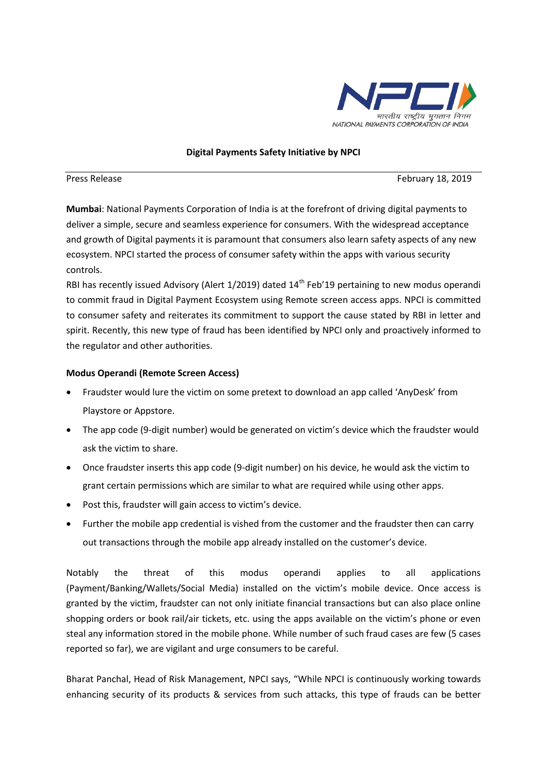

## **Digital Payments Safety Initiative by NPCI**

Press Release February 18, 2019

**Mumbai**: National Payments Corporation of India is at the forefront of driving digital payments to deliver a simple, secure and seamless experience for consumers. With the widespread acceptance and growth of Digital payments it is paramount that consumers also learn safety aspects of any new ecosystem. NPCI started the process of consumer safety within the apps with various security controls.

RBI has recently issued Advisory (Alert  $1/2019$ ) dated  $14<sup>th</sup>$  Feb'19 pertaining to new modus operandi to commit fraud in Digital Payment Ecosystem using Remote screen access apps. NPCI is committed to consumer safety and reiterates its commitment to support the cause stated by RBI in letter and spirit. Recently, this new type of fraud has been identified by NPCI only and proactively informed to the regulator and other authorities.

## **Modus Operandi (Remote Screen Access)**

- Fraudster would lure the victim on some pretext to download an app called 'AnyDesk' from Playstore or Appstore.
- The app code (9-digit number) would be generated on victim's device which the fraudster would ask the victim to share.
- Once fraudster inserts this app code (9-digit number) on his device, he would ask the victim to grant certain permissions which are similar to what are required while using other apps.
- Post this, fraudster will gain access to victim's device.
- Further the mobile app credential is vished from the customer and the fraudster then can carry out transactions through the mobile app already installed on the customer's device.

Notably the threat of this modus operandi applies to all applications (Payment/Banking/Wallets/Social Media) installed on the victim's mobile device. Once access is granted by the victim, fraudster can not only initiate financial transactions but can also place online shopping orders or book rail/air tickets, etc. using the apps available on the victim's phone or even steal any information stored in the mobile phone. While number of such fraud cases are few (5 cases reported so far), we are vigilant and urge consumers to be careful.

Bharat Panchal, Head of Risk Management, NPCI says, "While NPCI is continuously working towards enhancing security of its products & services from such attacks, this type of frauds can be better